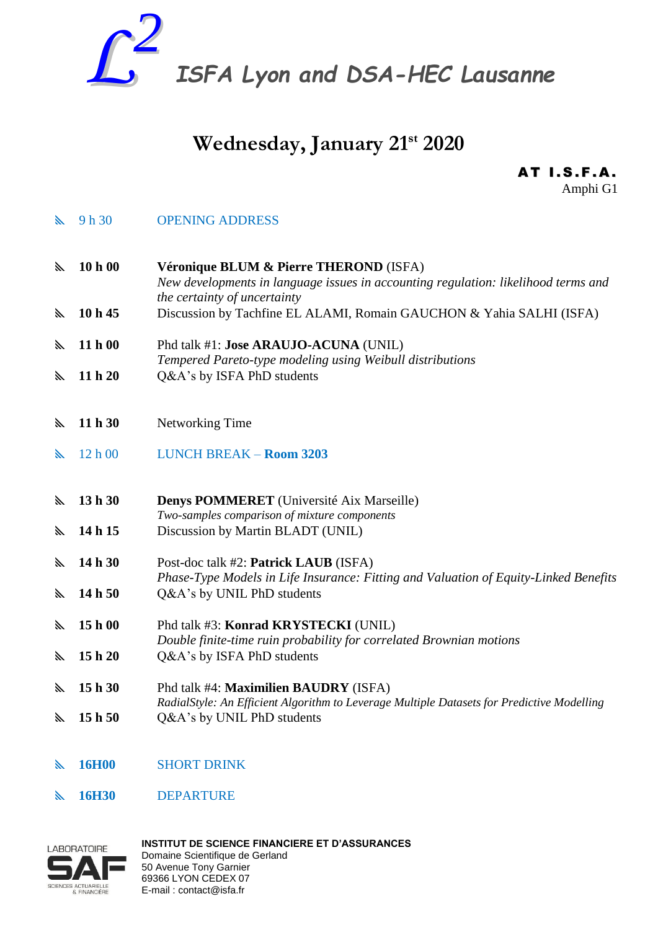

# **Wednesday, January 21st 2020**

**AT I.S.F.A.** Amphi G1

- **Solution Set Set OPENING ADDRESS**
- **10 h 00 Véronique BLUM & Pierre THEROND** (ISFA) *New developments in language issues in accounting regulation: likelihood terms and the certainty of uncertainty* **10 h 45** Discussion by Tachfine EL ALAMI, Romain GAUCHON & Yahia SALHI (ISFA)
- **11 h 00** Phd talk #1: **Jose ARAUJO-ACUNA** (UNIL) *Tempered Pareto-type modeling using Weibull distributions* **11 h 20** Q&A's by ISFA PhD students
- 
- **11 h 30** Networking Time
- 12 h 00 LUNCH BREAK **Room 3203**
- **13 h 30 Denys POMMERET** (Université Aix Marseille) *Two-samples comparison of mixture components*
- **14 h 15** Discussion by Martin BLADT (UNIL)
- **14 h 30** Post-doc talk #2: **Patrick LAUB** (ISFA) *Phase-Type Models in Life Insurance: Fitting and Valuation of Equity-Linked Benefits*  **14 h 50** Q&A's by UNIL PhD students
- **15 h 00** Phd talk #3: **Konrad KRYSTECKI** (UNIL) *Double finite-time ruin probability for correlated Brownian motions*  **15 h 20** Q&A's by ISFA PhD students
- **15 h 30** Phd talk #4: **Maximilien BAUDRY** (ISFA) *RadialStyle: An Efficient Algorithm to Leverage Multiple Datasets for Predictive Modelling* **15 h 50** Q&A's by UNIL PhD students
- **16H00** SHORT DRINK
- **16H30** DEPARTURE



**INSTITUT DE SCIENCE FINANCIERE ET D'ASSURANCES**  Domaine Scientifique de Gerland 50 Avenue Tony Garnier 69366 LYON CEDEX 07 E-mail : contact@isfa.fr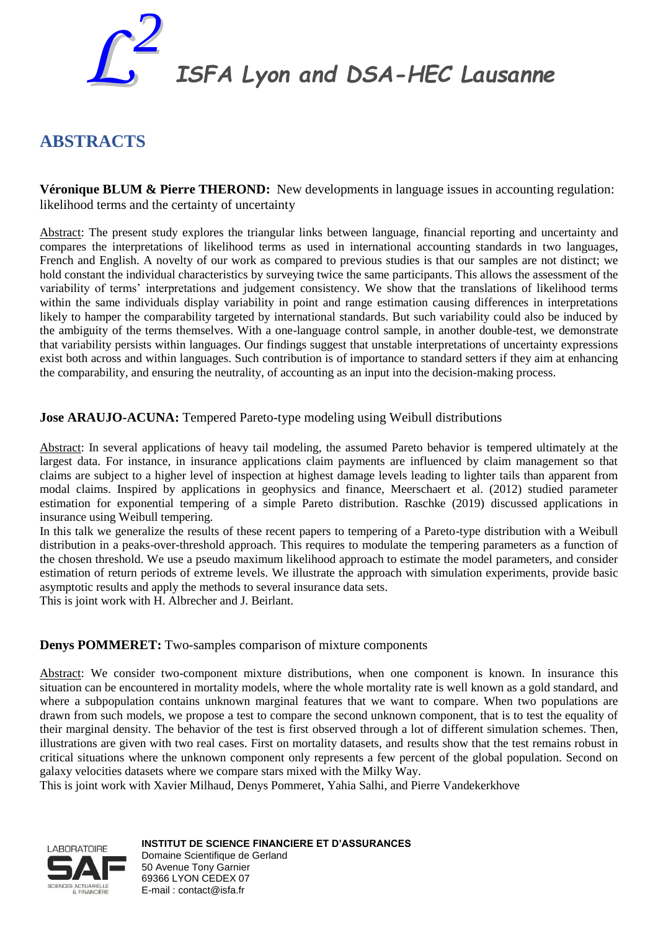

*ISFA Lyon and DSA-HEC Lausanne*

# **ABSTRACTS**

**Véronique BLUM & Pierre THEROND:** New developments in language issues in accounting regulation: likelihood terms and the certainty of uncertainty

Abstract: The present study explores the triangular links between language, financial reporting and uncertainty and compares the interpretations of likelihood terms as used in international accounting standards in two languages, French and English. A novelty of our work as compared to previous studies is that our samples are not distinct; we hold constant the individual characteristics by surveying twice the same participants. This allows the assessment of the variability of terms' interpretations and judgement consistency. We show that the translations of likelihood terms within the same individuals display variability in point and range estimation causing differences in interpretations likely to hamper the comparability targeted by international standards. But such variability could also be induced by the ambiguity of the terms themselves. With a one-language control sample, in another double-test, we demonstrate that variability persists within languages. Our findings suggest that unstable interpretations of uncertainty expressions exist both across and within languages. Such contribution is of importance to standard setters if they aim at enhancing the comparability, and ensuring the neutrality, of accounting as an input into the decision-making process.

**Jose ARAUJO-ACUNA:** Tempered Pareto-type modeling using Weibull distributions

Abstract: In several applications of heavy tail modeling, the assumed Pareto behavior is tempered ultimately at the largest data. For instance, in insurance applications claim payments are influenced by claim management so that claims are subject to a higher level of inspection at highest damage levels leading to lighter tails than apparent from modal claims. Inspired by applications in geophysics and finance, Meerschaert et al. (2012) studied parameter estimation for exponential tempering of a simple Pareto distribution. Raschke (2019) discussed applications in insurance using Weibull tempering.

In this talk we generalize the results of these recent papers to tempering of a Pareto-type distribution with a Weibull distribution in a peaks-over-threshold approach. This requires to modulate the tempering parameters as a function of the chosen threshold. We use a pseudo maximum likelihood approach to estimate the model parameters, and consider estimation of return periods of extreme levels. We illustrate the approach with simulation experiments, provide basic asymptotic results and apply the methods to several insurance data sets.

This is joint work with H. Albrecher and J. Beirlant.

## **Denys POMMERET:** Two-samples comparison of mixture components

Abstract: We consider two-component mixture distributions, when one component is known. In insurance this situation can be encountered in mortality models, where the whole mortality rate is well known as a gold standard, and where a subpopulation contains unknown marginal features that we want to compare. When two populations are drawn from such models, we propose a test to compare the second unknown component, that is to test the equality of their marginal density. The behavior of the test is first observed through a lot of different simulation schemes. Then, illustrations are given with two real cases. First on mortality datasets, and results show that the test remains robust in critical situations where the unknown component only represents a few percent of the global population. Second on galaxy velocities datasets where we compare stars mixed with the Milky Way.

This is joint work with Xavier Milhaud, Denys Pommeret, Yahia Salhi, and Pierre Vandekerkhove



**INSTITUT DE SCIENCE FINANCIERE ET D'ASSURANCES**  Domaine Scientifique de Gerland 50 Avenue Tony Garnier 69366 LYON CEDEX 07 E-mail : contact@isfa.fr